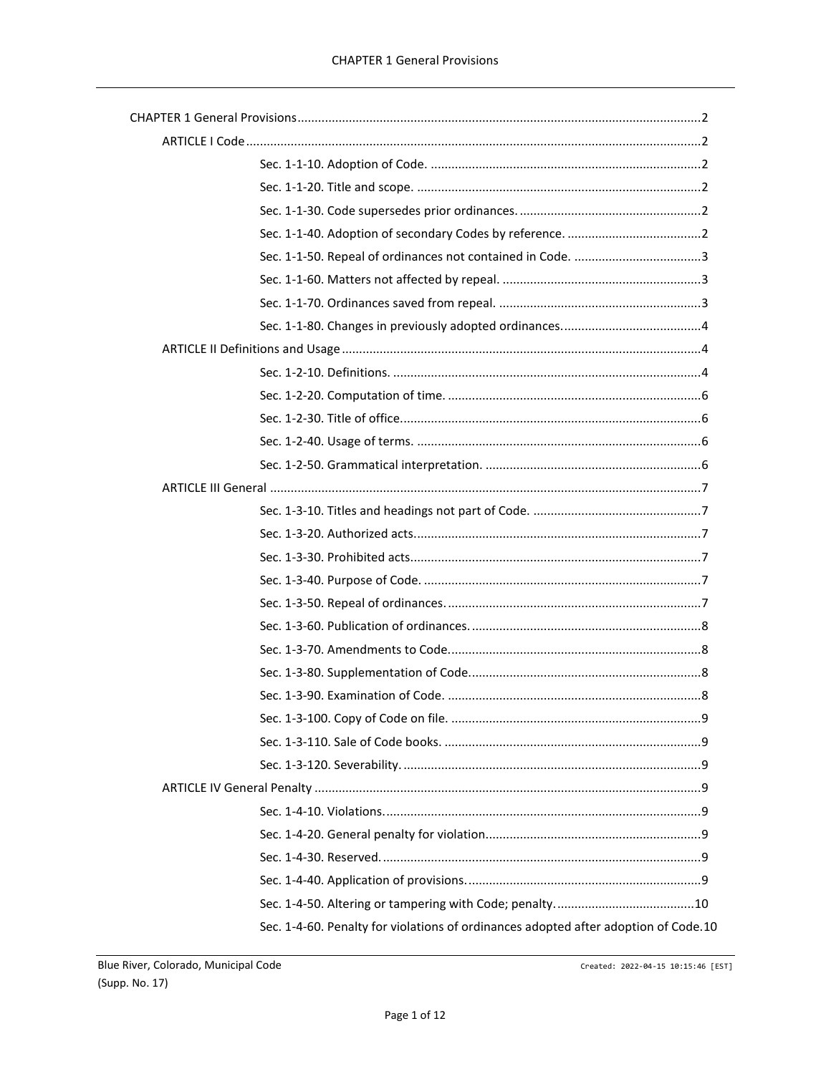| Sec. 1-4-60. Penalty for violations of ordinances adopted after adoption of Code.10 |  |
|-------------------------------------------------------------------------------------|--|

Created: 2022-04-15 10:15:46 [EST]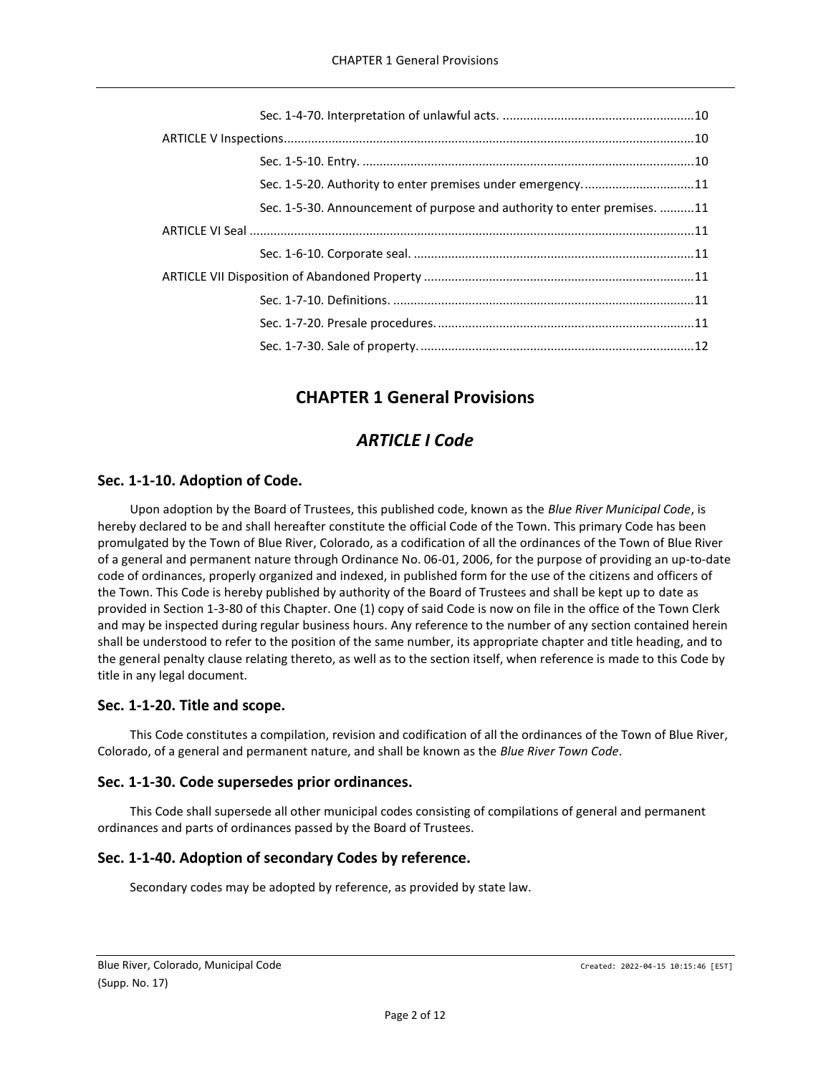| Sec. 1-5-20. Authority to enter premises under emergency11               |  |
|--------------------------------------------------------------------------|--|
| Sec. 1-5-30. Announcement of purpose and authority to enter premises. 11 |  |
|                                                                          |  |
|                                                                          |  |
|                                                                          |  |
|                                                                          |  |
|                                                                          |  |
|                                                                          |  |

# **CHAPTER 1 General Provisions**

# *ARTICLE I Code*

# <span id="page-1-2"></span><span id="page-1-1"></span><span id="page-1-0"></span>**Sec. 1-1-10. Adoption of Code.**

Upon adoption by the Board of Trustees, this published code, known as the *Blue River Municipal Code*, is hereby declared to be and shall hereafter constitute the official Code of the Town. This primary Code has been promulgated by the Town of Blue River, Colorado, as a codification of all the ordinances of the Town of Blue River of a general and permanent nature through Ordinance No. 06-01, 2006, for the purpose of providing an up-to-date code of ordinances, properly organized and indexed, in published form for the use of the citizens and officers of the Town. This Code is hereby published by authority of the Board of Trustees and shall be kept up to date as provided in Section 1-3-80 of this Chapter. One (1) copy of said Code is now on file in the office of the Town Clerk and may be inspected during regular business hours. Any reference to the number of any section contained herein shall be understood to refer to the position of the same number, its appropriate chapter and title heading, and to the general penalty clause relating thereto, as well as to the section itself, when reference is made to this Code by title in any legal document.

# <span id="page-1-3"></span>**Sec. 1-1-20. Title and scope.**

This Code constitutes a compilation, revision and codification of all the ordinances of the Town of Blue River, Colorado, of a general and permanent nature, and shall be known as the *Blue River Town Code*.

# <span id="page-1-4"></span>**Sec. 1-1-30. Code supersedes prior ordinances.**

This Code shall supersede all other municipal codes consisting of compilations of general and permanent ordinances and parts of ordinances passed by the Board of Trustees.

# <span id="page-1-5"></span>**Sec. 1-1-40. Adoption of secondary Codes by reference.**

Secondary codes may be adopted by reference, as provided by state law.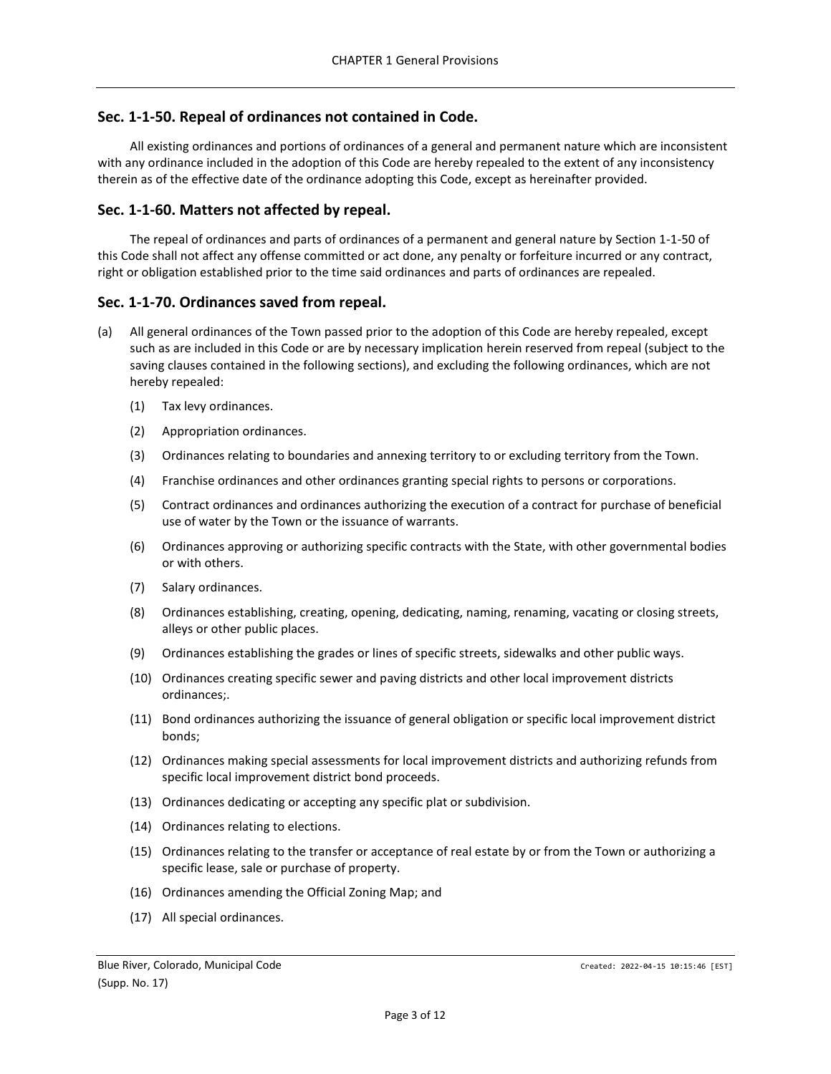### <span id="page-2-0"></span>**Sec. 1-1-50. Repeal of ordinances not contained in Code.**

All existing ordinances and portions of ordinances of a general and permanent nature which are inconsistent with any ordinance included in the adoption of this Code are hereby repealed to the extent of any inconsistency therein as of the effective date of the ordinance adopting this Code, except as hereinafter provided.

### <span id="page-2-1"></span>**Sec. 1-1-60. Matters not affected by repeal.**

The repeal of ordinances and parts of ordinances of a permanent and general nature by Section 1-1-50 of this Code shall not affect any offense committed or act done, any penalty or forfeiture incurred or any contract, right or obligation established prior to the time said ordinances and parts of ordinances are repealed.

### <span id="page-2-2"></span>**Sec. 1-1-70. Ordinances saved from repeal.**

- (a) All general ordinances of the Town passed prior to the adoption of this Code are hereby repealed, except such as are included in this Code or are by necessary implication herein reserved from repeal (subject to the saving clauses contained in the following sections), and excluding the following ordinances, which are not hereby repealed:
	- (1) Tax levy ordinances.
	- (2) Appropriation ordinances.
	- (3) Ordinances relating to boundaries and annexing territory to or excluding territory from the Town.
	- (4) Franchise ordinances and other ordinances granting special rights to persons or corporations.
	- (5) Contract ordinances and ordinances authorizing the execution of a contract for purchase of beneficial use of water by the Town or the issuance of warrants.
	- (6) Ordinances approving or authorizing specific contracts with the State, with other governmental bodies or with others.
	- (7) Salary ordinances.
	- (8) Ordinances establishing, creating, opening, dedicating, naming, renaming, vacating or closing streets, alleys or other public places.
	- (9) Ordinances establishing the grades or lines of specific streets, sidewalks and other public ways.
	- (10) Ordinances creating specific sewer and paving districts and other local improvement districts ordinances;.
	- (11) Bond ordinances authorizing the issuance of general obligation or specific local improvement district bonds;
	- (12) Ordinances making special assessments for local improvement districts and authorizing refunds from specific local improvement district bond proceeds.
	- (13) Ordinances dedicating or accepting any specific plat or subdivision.
	- (14) Ordinances relating to elections.
	- (15) Ordinances relating to the transfer or acceptance of real estate by or from the Town or authorizing a specific lease, sale or purchase of property.
	- (16) Ordinances amending the Official Zoning Map; and
	- (17) All special ordinances.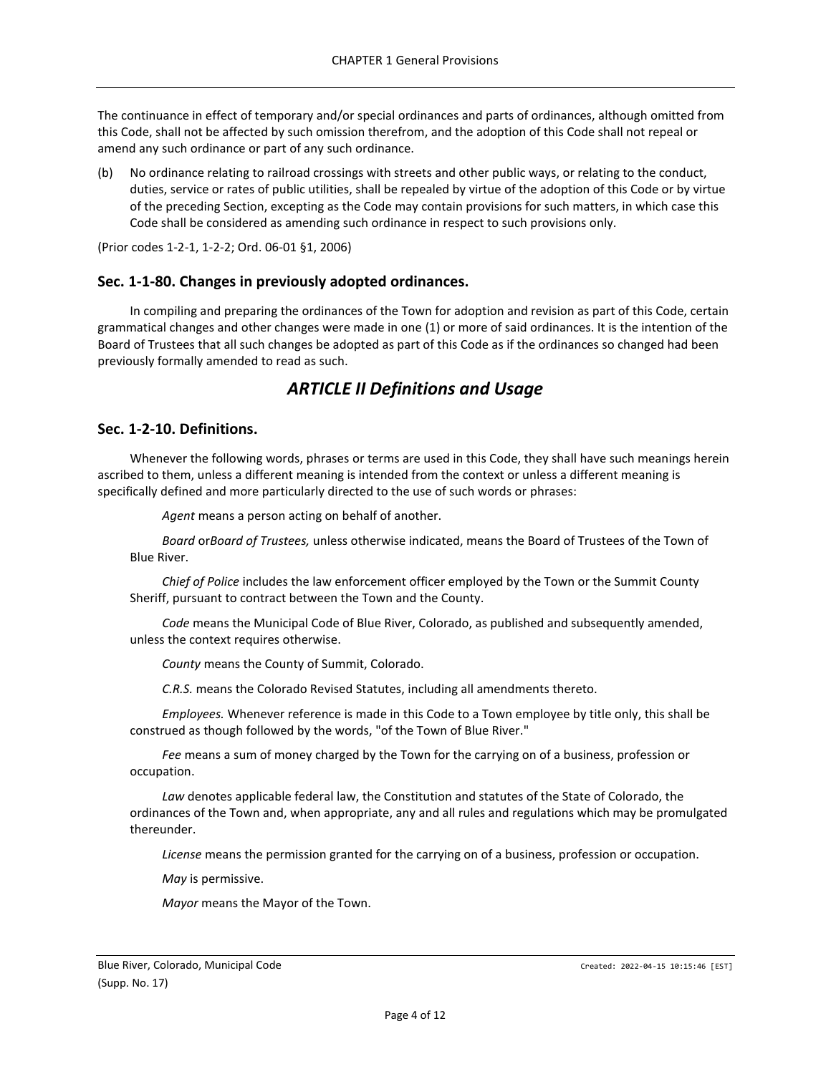The continuance in effect of temporary and/or special ordinances and parts of ordinances, although omitted from this Code, shall not be affected by such omission therefrom, and the adoption of this Code shall not repeal or amend any such ordinance or part of any such ordinance.

(b) No ordinance relating to railroad crossings with streets and other public ways, or relating to the conduct, duties, service or rates of public utilities, shall be repealed by virtue of the adoption of this Code or by virtue of the preceding Section, excepting as the Code may contain provisions for such matters, in which case this Code shall be considered as amending such ordinance in respect to such provisions only.

(Prior codes 1-2-1, 1-2-2; Ord. 06-01 §1, 2006)

# <span id="page-3-0"></span>**Sec. 1-1-80. Changes in previously adopted ordinances.**

In compiling and preparing the ordinances of the Town for adoption and revision as part of this Code, certain grammatical changes and other changes were made in one (1) or more of said ordinances. It is the intention of the Board of Trustees that all such changes be adopted as part of this Code as if the ordinances so changed had been previously formally amended to read as such.

# *ARTICLE II Definitions and Usage*

### <span id="page-3-2"></span><span id="page-3-1"></span>**Sec. 1-2-10. Definitions.**

Whenever the following words, phrases or terms are used in this Code, they shall have such meanings herein ascribed to them, unless a different meaning is intended from the context or unless a different meaning is specifically defined and more particularly directed to the use of such words or phrases:

*Agent* means a person acting on behalf of another.

*Board* or*Board of Trustees,* unless otherwise indicated, means the Board of Trustees of the Town of Blue River.

*Chief of Police* includes the law enforcement officer employed by the Town or the Summit County Sheriff, pursuant to contract between the Town and the County.

*Code* means the Municipal Code of Blue River, Colorado, as published and subsequently amended, unless the context requires otherwise.

*County* means the County of Summit, Colorado.

*C.R.S.* means the Colorado Revised Statutes, including all amendments thereto.

*Employees.* Whenever reference is made in this Code to a Town employee by title only, this shall be construed as though followed by the words, "of the Town of Blue River."

*Fee* means a sum of money charged by the Town for the carrying on of a business, profession or occupation.

*Law* denotes applicable federal law, the Constitution and statutes of the State of Colorado, the ordinances of the Town and, when appropriate, any and all rules and regulations which may be promulgated thereunder.

*License* means the permission granted for the carrying on of a business, profession or occupation.

*May* is permissive.

*Mayor* means the Mayor of the Town.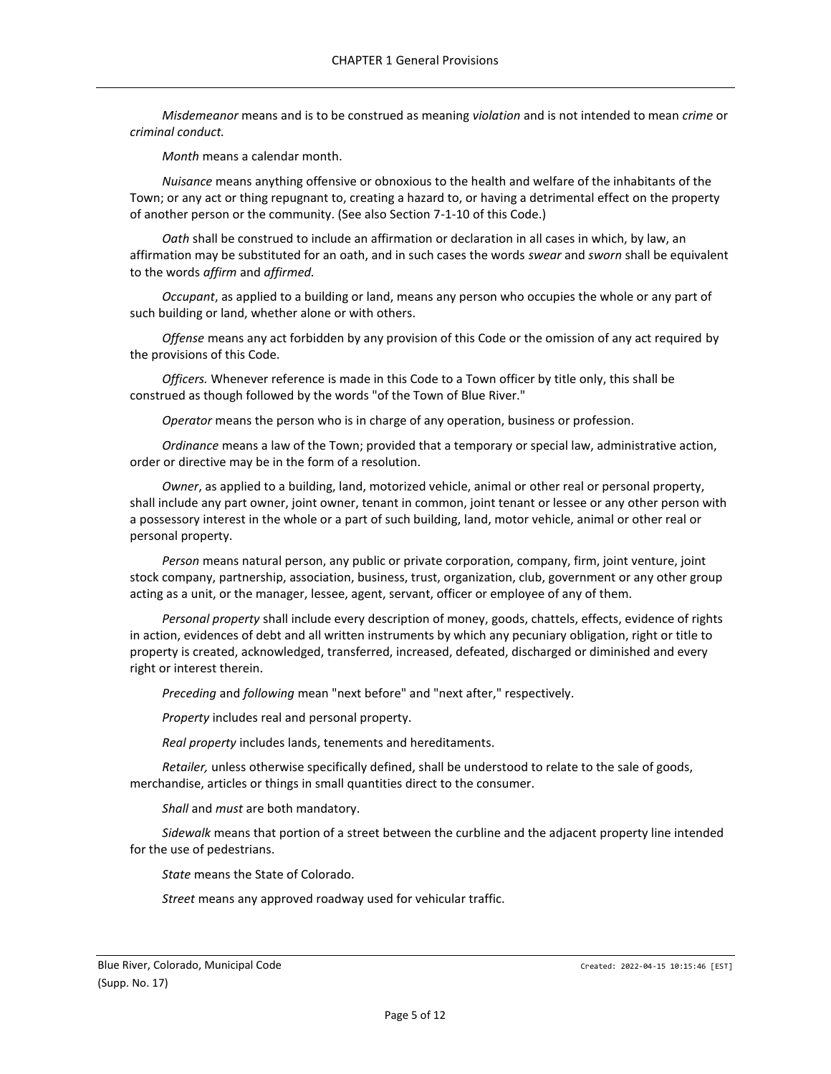*Misdemeanor* means and is to be construed as meaning *violation* and is not intended to mean *crime* or *criminal conduct.*

*Month* means a calendar month.

*Nuisance* means anything offensive or obnoxious to the health and welfare of the inhabitants of the Town; or any act or thing repugnant to, creating a hazard to, or having a detrimental effect on the property of another person or the community. (See also Section 7-1-10 of this Code.)

*Oath* shall be construed to include an affirmation or declaration in all cases in which, by law, an affirmation may be substituted for an oath, and in such cases the words *swear* and *sworn* shall be equivalent to the words *affirm* and *affirmed.*

*Occupant*, as applied to a building or land, means any person who occupies the whole or any part of such building or land, whether alone or with others.

*Offense* means any act forbidden by any provision of this Code or the omission of any act required by the provisions of this Code.

*Officers.* Whenever reference is made in this Code to a Town officer by title only, this shall be construed as though followed by the words "of the Town of Blue River."

*Operator* means the person who is in charge of any operation, business or profession.

*Ordinance* means a law of the Town; provided that a temporary or special law, administrative action, order or directive may be in the form of a resolution.

*Owner*, as applied to a building, land, motorized vehicle, animal or other real or personal property, shall include any part owner, joint owner, tenant in common, joint tenant or lessee or any other person with a possessory interest in the whole or a part of such building, land, motor vehicle, animal or other real or personal property.

*Person* means natural person, any public or private corporation, company, firm, joint venture, joint stock company, partnership, association, business, trust, organization, club, government or any other group acting as a unit, or the manager, lessee, agent, servant, officer or employee of any of them.

*Personal property* shall include every description of money, goods, chattels, effects, evidence of rights in action, evidences of debt and all written instruments by which any pecuniary obligation, right or title to property is created, acknowledged, transferred, increased, defeated, discharged or diminished and every right or interest therein.

*Preceding* and *following* mean "next before" and "next after," respectively.

*Property* includes real and personal property.

*Real property* includes lands, tenements and hereditaments.

*Retailer,* unless otherwise specifically defined, shall be understood to relate to the sale of goods, merchandise, articles or things in small quantities direct to the consumer.

*Shall* and *must* are both mandatory.

*Sidewalk* means that portion of a street between the curbline and the adjacent property line intended for the use of pedestrians.

*State* means the State of Colorado.

*Street* means any approved roadway used for vehicular traffic.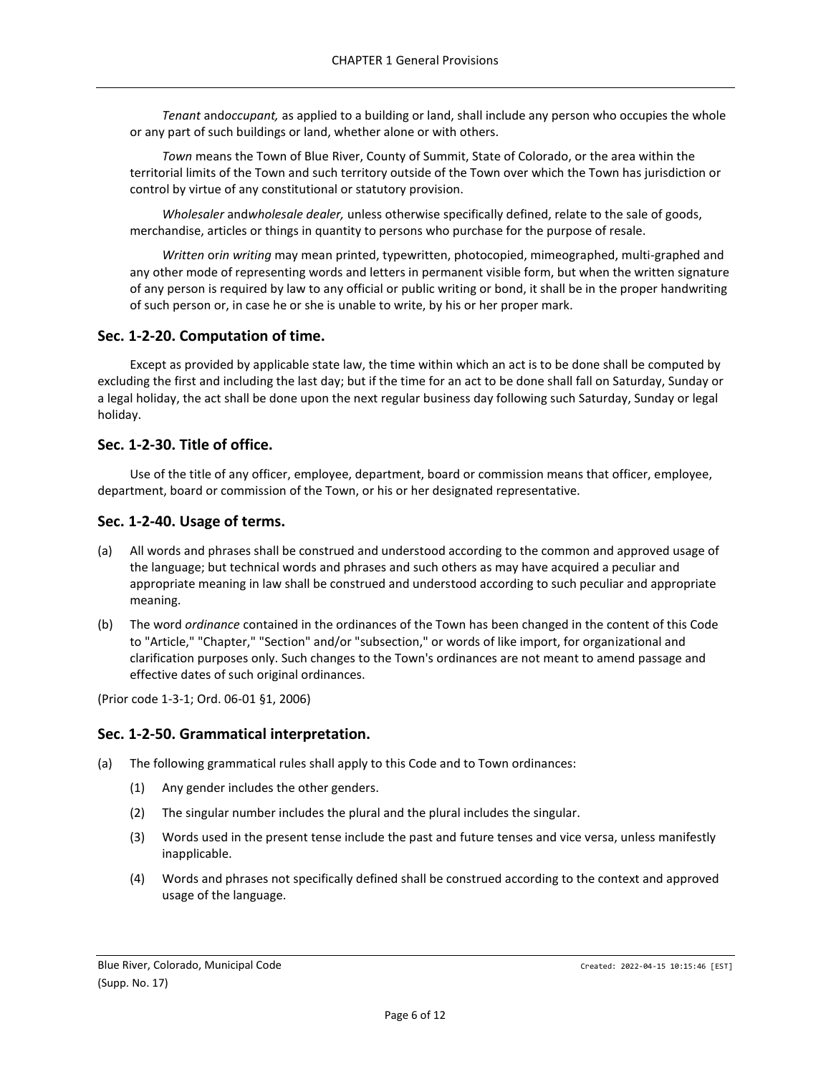*Tenant* and*occupant,* as applied to a building or land, shall include any person who occupies the whole or any part of such buildings or land, whether alone or with others.

*Town* means the Town of Blue River, County of Summit, State of Colorado, or the area within the territorial limits of the Town and such territory outside of the Town over which the Town has jurisdiction or control by virtue of any constitutional or statutory provision.

*Wholesaler* and*wholesale dealer,* unless otherwise specifically defined, relate to the sale of goods, merchandise, articles or things in quantity to persons who purchase for the purpose of resale.

*Written* or*in writing* may mean printed, typewritten, photocopied, mimeographed, multi-graphed and any other mode of representing words and letters in permanent visible form, but when the written signature of any person is required by law to any official or public writing or bond, it shall be in the proper handwriting of such person or, in case he or she is unable to write, by his or her proper mark.

# <span id="page-5-0"></span>**Sec. 1-2-20. Computation of time.**

Except as provided by applicable state law, the time within which an act is to be done shall be computed by excluding the first and including the last day; but if the time for an act to be done shall fall on Saturday, Sunday or a legal holiday, the act shall be done upon the next regular business day following such Saturday, Sunday or legal holiday.

# <span id="page-5-1"></span>**Sec. 1-2-30. Title of office.**

Use of the title of any officer, employee, department, board or commission means that officer, employee, department, board or commission of the Town, or his or her designated representative.

# <span id="page-5-2"></span>**Sec. 1-2-40. Usage of terms.**

- (a) All words and phrases shall be construed and understood according to the common and approved usage of the language; but technical words and phrases and such others as may have acquired a peculiar and appropriate meaning in law shall be construed and understood according to such peculiar and appropriate meaning.
- (b) The word *ordinance* contained in the ordinances of the Town has been changed in the content of this Code to "Article," "Chapter," "Section" and/or "subsection," or words of like import, for organizational and clarification purposes only. Such changes to the Town's ordinances are not meant to amend passage and effective dates of such original ordinances.

(Prior code 1-3-1; Ord. 06-01 §1, 2006)

# <span id="page-5-3"></span>**Sec. 1-2-50. Grammatical interpretation.**

- (a) The following grammatical rules shall apply to this Code and to Town ordinances:
	- (1) Any gender includes the other genders.
	- (2) The singular number includes the plural and the plural includes the singular.
	- (3) Words used in the present tense include the past and future tenses and vice versa, unless manifestly inapplicable.
	- (4) Words and phrases not specifically defined shall be construed according to the context and approved usage of the language.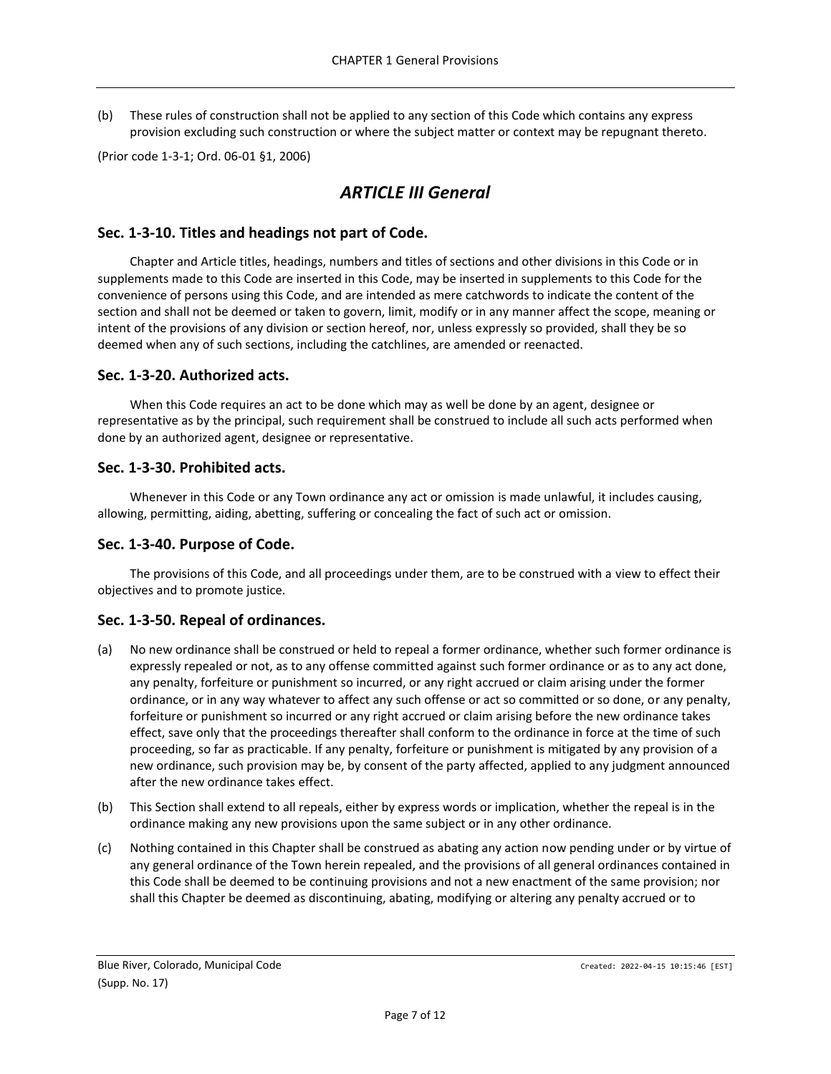(b) These rules of construction shall not be applied to any section of this Code which contains any express provision excluding such construction or where the subject matter or context may be repugnant thereto.

<span id="page-6-0"></span>(Prior code 1-3-1; Ord. 06-01 §1, 2006)

# *ARTICLE III General*

### <span id="page-6-1"></span>**Sec. 1-3-10. Titles and headings not part of Code.**

Chapter and Article titles, headings, numbers and titles of sections and other divisions in this Code or in supplements made to this Code are inserted in this Code, may be inserted in supplements to this Code for the convenience of persons using this Code, and are intended as mere catchwords to indicate the content of the section and shall not be deemed or taken to govern, limit, modify or in any manner affect the scope, meaning or intent of the provisions of any division or section hereof, nor, unless expressly so provided, shall they be so deemed when any of such sections, including the catchlines, are amended or reenacted.

### <span id="page-6-2"></span>**Sec. 1-3-20. Authorized acts.**

When this Code requires an act to be done which may as well be done by an agent, designee or representative as by the principal, such requirement shall be construed to include all such acts performed when done by an authorized agent, designee or representative.

### <span id="page-6-3"></span>**Sec. 1-3-30. Prohibited acts.**

Whenever in this Code or any Town ordinance any act or omission is made unlawful, it includes causing, allowing, permitting, aiding, abetting, suffering or concealing the fact of such act or omission.

### <span id="page-6-4"></span>**Sec. 1-3-40. Purpose of Code.**

The provisions of this Code, and all proceedings under them, are to be construed with a view to effect their objectives and to promote justice.

### <span id="page-6-5"></span>**Sec. 1-3-50. Repeal of ordinances.**

- (a) No new ordinance shall be construed or held to repeal a former ordinance, whether such former ordinance is expressly repealed or not, as to any offense committed against such former ordinance or as to any act done, any penalty, forfeiture or punishment so incurred, or any right accrued or claim arising under the former ordinance, or in any way whatever to affect any such offense or act so committed or so done, or any penalty, forfeiture or punishment so incurred or any right accrued or claim arising before the new ordinance takes effect, save only that the proceedings thereafter shall conform to the ordinance in force at the time of such proceeding, so far as practicable. If any penalty, forfeiture or punishment is mitigated by any provision of a new ordinance, such provision may be, by consent of the party affected, applied to any judgment announced after the new ordinance takes effect.
- (b) This Section shall extend to all repeals, either by express words or implication, whether the repeal is in the ordinance making any new provisions upon the same subject or in any other ordinance.
- (c) Nothing contained in this Chapter shall be construed as abating any action now pending under or by virtue of any general ordinance of the Town herein repealed, and the provisions of all general ordinances contained in this Code shall be deemed to be continuing provisions and not a new enactment of the same provision; nor shall this Chapter be deemed as discontinuing, abating, modifying or altering any penalty accrued or to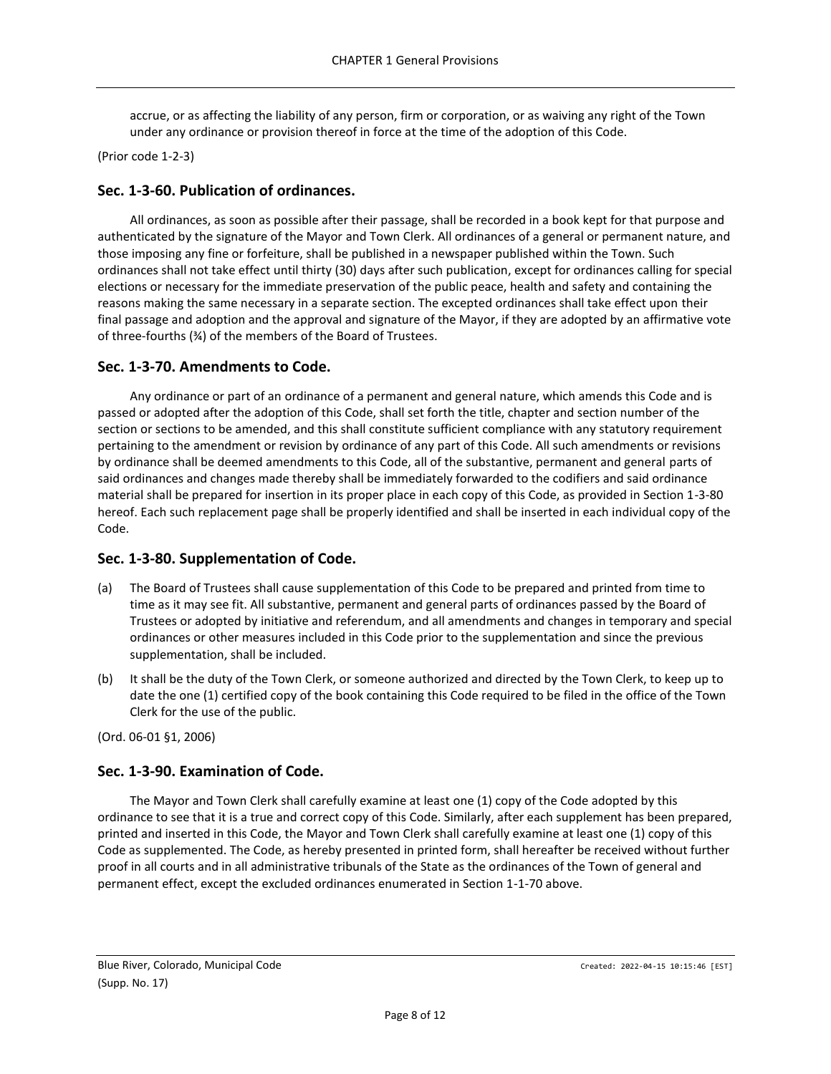accrue, or as affecting the liability of any person, firm or corporation, or as waiving any right of the Town under any ordinance or provision thereof in force at the time of the adoption of this Code.

(Prior code 1-2-3)

# <span id="page-7-0"></span>**Sec. 1-3-60. Publication of ordinances.**

All ordinances, as soon as possible after their passage, shall be recorded in a book kept for that purpose and authenticated by the signature of the Mayor and Town Clerk. All ordinances of a general or permanent nature, and those imposing any fine or forfeiture, shall be published in a newspaper published within the Town. Such ordinances shall not take effect until thirty (30) days after such publication, except for ordinances calling for special elections or necessary for the immediate preservation of the public peace, health and safety and containing the reasons making the same necessary in a separate section. The excepted ordinances shall take effect upon their final passage and adoption and the approval and signature of the Mayor, if they are adopted by an affirmative vote of three-fourths (¾) of the members of the Board of Trustees.

# <span id="page-7-1"></span>**Sec. 1-3-70. Amendments to Code.**

Any ordinance or part of an ordinance of a permanent and general nature, which amends this Code and is passed or adopted after the adoption of this Code, shall set forth the title, chapter and section number of the section or sections to be amended, and this shall constitute sufficient compliance with any statutory requirement pertaining to the amendment or revision by ordinance of any part of this Code. All such amendments or revisions by ordinance shall be deemed amendments to this Code, all of the substantive, permanent and general parts of said ordinances and changes made thereby shall be immediately forwarded to the codifiers and said ordinance material shall be prepared for insertion in its proper place in each copy of this Code, as provided in Section 1-3-80 hereof. Each such replacement page shall be properly identified and shall be inserted in each individual copy of the Code.

# <span id="page-7-2"></span>**Sec. 1-3-80. Supplementation of Code.**

- (a) The Board of Trustees shall cause supplementation of this Code to be prepared and printed from time to time as it may see fit. All substantive, permanent and general parts of ordinances passed by the Board of Trustees or adopted by initiative and referendum, and all amendments and changes in temporary and special ordinances or other measures included in this Code prior to the supplementation and since the previous supplementation, shall be included.
- (b) It shall be the duty of the Town Clerk, or someone authorized and directed by the Town Clerk, to keep up to date the one (1) certified copy of the book containing this Code required to be filed in the office of the Town Clerk for the use of the public.

(Ord. 06-01 §1, 2006)

# <span id="page-7-3"></span>**Sec. 1-3-90. Examination of Code.**

The Mayor and Town Clerk shall carefully examine at least one (1) copy of the Code adopted by this ordinance to see that it is a true and correct copy of this Code. Similarly, after each supplement has been prepared, printed and inserted in this Code, the Mayor and Town Clerk shall carefully examine at least one (1) copy of this Code as supplemented. The Code, as hereby presented in printed form, shall hereafter be received without further proof in all courts and in all administrative tribunals of the State as the ordinances of the Town of general and permanent effect, except the excluded ordinances enumerated in Section 1-1-70 above.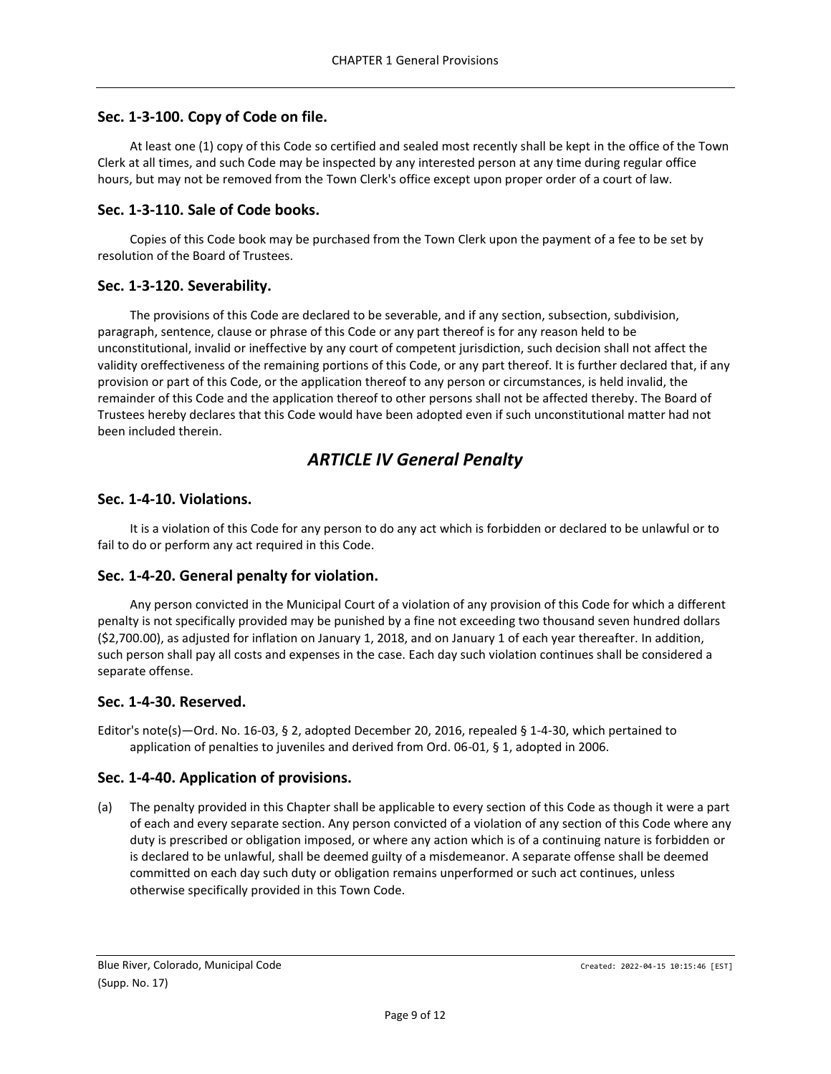# <span id="page-8-0"></span>**Sec. 1-3-100. Copy of Code on file.**

At least one (1) copy of this Code so certified and sealed most recently shall be kept in the office of the Town Clerk at all times, and such Code may be inspected by any interested person at any time during regular office hours, but may not be removed from the Town Clerk's office except upon proper order of a court of law.

# <span id="page-8-1"></span>**Sec. 1-3-110. Sale of Code books.**

Copies of this Code book may be purchased from the Town Clerk upon the payment of a fee to be set by resolution of the Board of Trustees.

# <span id="page-8-2"></span>**Sec. 1-3-120. Severability.**

The provisions of this Code are declared to be severable, and if any section, subsection, subdivision, paragraph, sentence, clause or phrase of this Code or any part thereof is for any reason held to be unconstitutional, invalid or ineffective by any court of competent jurisdiction, such decision shall not affect the validity oreffectiveness of the remaining portions of this Code, or any part thereof. It is further declared that, if any provision or part of this Code, or the application thereof to any person or circumstances, is held invalid, the remainder of this Code and the application thereof to other persons shall not be affected thereby. The Board of Trustees hereby declares that this Code would have been adopted even if such unconstitutional matter had not been included therein.

# *ARTICLE IV General Penalty*

# <span id="page-8-4"></span><span id="page-8-3"></span>**Sec. 1-4-10. Violations.**

It is a violation of this Code for any person to do any act which is forbidden or declared to be unlawful or to fail to do or perform any act required in this Code.

# <span id="page-8-5"></span>**Sec. 1-4-20. General penalty for violation.**

Any person convicted in the Municipal Court of a violation of any provision of this Code for which a different penalty is not specifically provided may be punished by a fine not exceeding two thousand seven hundred dollars (\$2,700.00), as adjusted for inflation on January 1, 2018, and on January 1 of each year thereafter. In addition, such person shall pay all costs and expenses in the case. Each day such violation continues shall be considered a separate offense.

# <span id="page-8-6"></span>**Sec. 1-4-30. Reserved.**

Editor's note(s)—Ord. No. 16-03, § 2, adopted December 20, 2016, repealed § 1-4-30, which pertained to application of penalties to juveniles and derived from Ord. 06-01, § 1, adopted in 2006.

# <span id="page-8-7"></span>**Sec. 1-4-40. Application of provisions.**

(a) The penalty provided in this Chapter shall be applicable to every section of this Code as though it were a part of each and every separate section. Any person convicted of a violation of any section of this Code where any duty is prescribed or obligation imposed, or where any action which is of a continuing nature is forbidden or is declared to be unlawful, shall be deemed guilty of a misdemeanor. A separate offense shall be deemed committed on each day such duty or obligation remains unperformed or such act continues, unless otherwise specifically provided in this Town Code.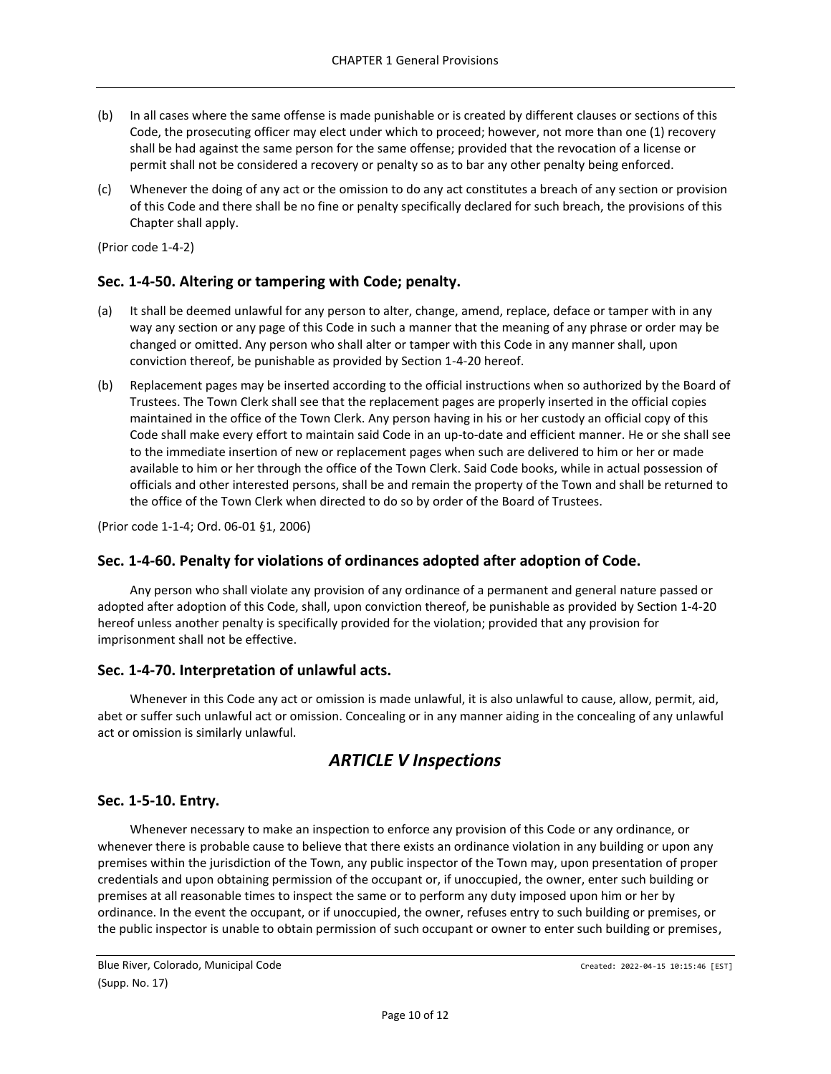- (b) In all cases where the same offense is made punishable or is created by different clauses or sections of this Code, the prosecuting officer may elect under which to proceed; however, not more than one (1) recovery shall be had against the same person for the same offense; provided that the revocation of a license or permit shall not be considered a recovery or penalty so as to bar any other penalty being enforced.
- (c) Whenever the doing of any act or the omission to do any act constitutes a breach of any section or provision of this Code and there shall be no fine or penalty specifically declared for such breach, the provisions of this Chapter shall apply.

(Prior code 1-4-2)

### <span id="page-9-0"></span>**Sec. 1-4-50. Altering or tampering with Code; penalty.**

- (a) It shall be deemed unlawful for any person to alter, change, amend, replace, deface or tamper with in any way any section or any page of this Code in such a manner that the meaning of any phrase or order may be changed or omitted. Any person who shall alter or tamper with this Code in any manner shall, upon conviction thereof, be punishable as provided by Section 1-4-20 hereof.
- (b) Replacement pages may be inserted according to the official instructions when so authorized by the Board of Trustees. The Town Clerk shall see that the replacement pages are properly inserted in the official copies maintained in the office of the Town Clerk. Any person having in his or her custody an official copy of this Code shall make every effort to maintain said Code in an up-to-date and efficient manner. He or she shall see to the immediate insertion of new or replacement pages when such are delivered to him or her or made available to him or her through the office of the Town Clerk. Said Code books, while in actual possession of officials and other interested persons, shall be and remain the property of the Town and shall be returned to the office of the Town Clerk when directed to do so by order of the Board of Trustees.

(Prior code 1-1-4; Ord. 06-01 §1, 2006)

### <span id="page-9-1"></span>**Sec. 1-4-60. Penalty for violations of ordinances adopted after adoption of Code.**

Any person who shall violate any provision of any ordinance of a permanent and general nature passed or adopted after adoption of this Code, shall, upon conviction thereof, be punishable as provided by Section 1-4-20 hereof unless another penalty is specifically provided for the violation; provided that any provision for imprisonment shall not be effective.

### <span id="page-9-2"></span>**Sec. 1-4-70. Interpretation of unlawful acts.**

Whenever in this Code any act or omission is made unlawful, it is also unlawful to cause, allow, permit, aid, abet or suffer such unlawful act or omission. Concealing or in any manner aiding in the concealing of any unlawful act or omission is similarly unlawful.

# *ARTICLE V Inspections*

### <span id="page-9-4"></span><span id="page-9-3"></span>**Sec. 1-5-10. Entry.**

Whenever necessary to make an inspection to enforce any provision of this Code or any ordinance, or whenever there is probable cause to believe that there exists an ordinance violation in any building or upon any premises within the jurisdiction of the Town, any public inspector of the Town may, upon presentation of proper credentials and upon obtaining permission of the occupant or, if unoccupied, the owner, enter such building or premises at all reasonable times to inspect the same or to perform any duty imposed upon him or her by ordinance. In the event the occupant, or if unoccupied, the owner, refuses entry to such building or premises, or the public inspector is unable to obtain permission of such occupant or owner to enter such building or premises,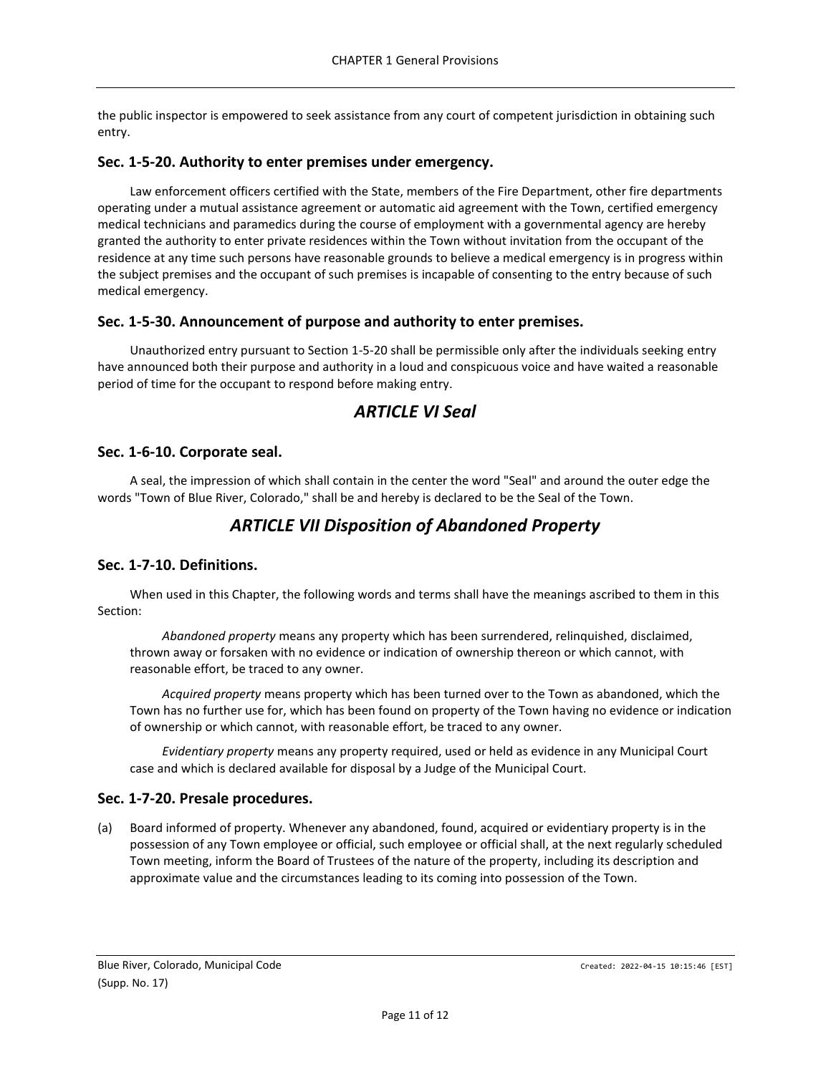the public inspector is empowered to seek assistance from any court of competent jurisdiction in obtaining such entry.

# <span id="page-10-0"></span>**Sec. 1-5-20. Authority to enter premises under emergency.**

Law enforcement officers certified with the State, members of the Fire Department, other fire departments operating under a mutual assistance agreement or automatic aid agreement with the Town, certified emergency medical technicians and paramedics during the course of employment with a governmental agency are hereby granted the authority to enter private residences within the Town without invitation from the occupant of the residence at any time such persons have reasonable grounds to believe a medical emergency is in progress within the subject premises and the occupant of such premises is incapable of consenting to the entry because of such medical emergency.

# <span id="page-10-1"></span>**Sec. 1-5-30. Announcement of purpose and authority to enter premises.**

Unauthorized entry pursuant to Section 1-5-20 shall be permissible only after the individuals seeking entry have announced both their purpose and authority in a loud and conspicuous voice and have waited a reasonable period of time for the occupant to respond before making entry.

# *ARTICLE VI Seal*

# <span id="page-10-3"></span><span id="page-10-2"></span>**Sec. 1-6-10. Corporate seal.**

<span id="page-10-4"></span>A seal, the impression of which shall contain in the center the word "Seal" and around the outer edge the words "Town of Blue River, Colorado," shall be and hereby is declared to be the Seal of the Town.

# *ARTICLE VII Disposition of Abandoned Property*

# <span id="page-10-5"></span>**Sec. 1-7-10. Definitions.**

When used in this Chapter, the following words and terms shall have the meanings ascribed to them in this Section:

*Abandoned property* means any property which has been surrendered, relinquished, disclaimed, thrown away or forsaken with no evidence or indication of ownership thereon or which cannot, with reasonable effort, be traced to any owner.

*Acquired property* means property which has been turned over to the Town as abandoned, which the Town has no further use for, which has been found on property of the Town having no evidence or indication of ownership or which cannot, with reasonable effort, be traced to any owner.

*Evidentiary property* means any property required, used or held as evidence in any Municipal Court case and which is declared available for disposal by a Judge of the Municipal Court.

# <span id="page-10-6"></span>**Sec. 1-7-20. Presale procedures.**

(a) Board informed of property. Whenever any abandoned, found, acquired or evidentiary property is in the possession of any Town employee or official, such employee or official shall, at the next regularly scheduled Town meeting, inform the Board of Trustees of the nature of the property, including its description and approximate value and the circumstances leading to its coming into possession of the Town.